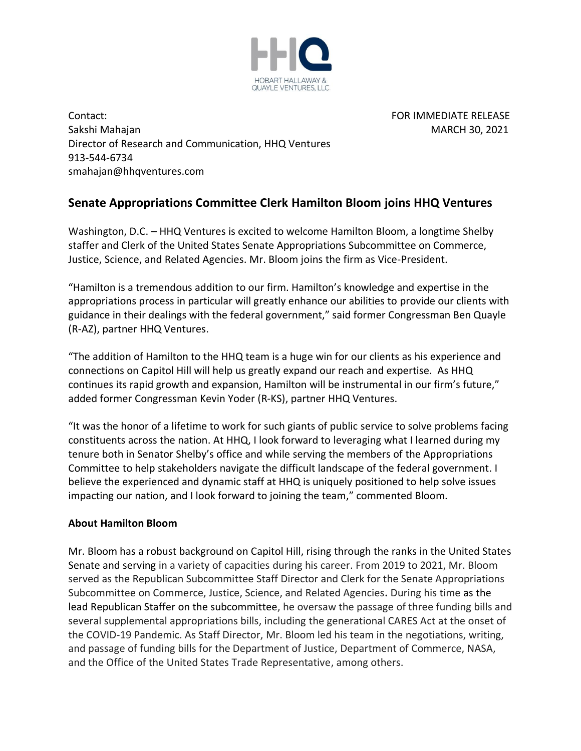

Contact: FOR IMMEDIATE RELEASE Sakshi Mahajan Mahajan MARCH 30, 2021 Director of Research and Communication, HHQ Ventures 913-544-6734 smahajan@hhqventures.com

## **Senate Appropriations Committee Clerk Hamilton Bloom joins HHQ Ventures**

Washington, D.C. – HHQ Ventures is excited to welcome Hamilton Bloom, a longtime Shelby staffer and Clerk of the United States Senate Appropriations Subcommittee on Commerce, Justice, Science, and Related Agencies. Mr. Bloom joins the firm as Vice-President.

"Hamilton is a tremendous addition to our firm. Hamilton's knowledge and expertise in the appropriations process in particular will greatly enhance our abilities to provide our clients with guidance in their dealings with the federal government," said former Congressman Ben Quayle (R-AZ), partner HHQ Ventures.

"The addition of Hamilton to the HHQ team is a huge win for our clients as his experience and connections on Capitol Hill will help us greatly expand our reach and expertise. As HHQ continues its rapid growth and expansion, Hamilton will be instrumental in our firm's future," added former Congressman Kevin Yoder (R-KS), partner HHQ Ventures.

"It was the honor of a lifetime to work for such giants of public service to solve problems facing constituents across the nation. At HHQ, I look forward to leveraging what I learned during my tenure both in Senator Shelby's office and while serving the members of the Appropriations Committee to help stakeholders navigate the difficult landscape of the federal government. I believe the experienced and dynamic staff at HHQ is uniquely positioned to help solve issues impacting our nation, and I look forward to joining the team," commented Bloom.

## **About Hamilton Bloom**

Mr. Bloom has a robust background on Capitol Hill, rising through the ranks in the United States Senate and serving in a variety of capacities during his career. From 2019 to 2021, Mr. Bloom served as the Republican Subcommittee Staff Director and Clerk for the Senate Appropriations Subcommittee on Commerce, Justice, Science, and Related Agencies**.** During his time as the lead Republican Staffer on the subcommittee, he oversaw the passage of three funding bills and several supplemental appropriations bills, including the generational CARES Act at the onset of the COVID-19 Pandemic. As Staff Director, Mr. Bloom led his team in the negotiations, writing, and passage of funding bills for the Department of Justice, Department of Commerce, NASA, and the Office of the United States Trade Representative, among others.